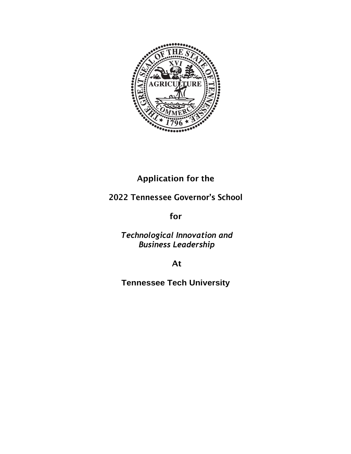

## Application for the

### 2022 Tennessee Governor's School

for

*Technological Innovation and Business Leadership*

At

**Tennessee Tech University**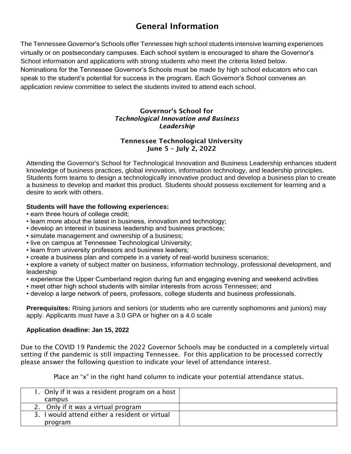## General Information

The Tennessee Governor's Schools offer Tennessee high school students intensive learning experiences virtually or on postsecondary campuses. Each school system is encouraged to share the Governor's School information and applications with strong students who meet the criteria listed below. Nominations for the Tennessee Governor's Schools must be made by high school educators who can speak to the student's potential for success in the program. Each Governor's School convenes an application review committee to select the students invited to attend each school.

#### Governor's School for *Technological Innovation and Business Leadership*

#### Tennessee Technological University June 5 – July 2, 2022

Attending the Governor's School for Technological Innovation and Business Leadership enhances student knowledge of business practices, global innovation, information technology, and leadership principles. Students form teams to design a technologically innovative product and develop a business plan to create a business to develop and market this product. Students should possess excitement for learning and a desire to work with others.

#### **Students will have the following experiences:**

- earn three hours of college credit;
- learn more about the latest in business, innovation and technology;
- develop an interest in business leadership and business practices;
- simulate management and ownership of a business;
- live on campus at Tennessee Technological University;
- learn from university professors and business leaders;
- create a business plan and compete in a variety of real-world business scenarios;

• explore a variety of subject matter on business, information technology, professional development, and leadership

- experience the Upper Cumberland region during fun and engaging evening and weekend activities
- meet other high school students with similar interests from across Tennessee; and

• develop a large network of peers, professors, college students and business professionals.

**Prerequisites:** Rising juniors and seniors (or students who are currently sophomores and juniors) may apply. Applicants must have a 3.0 GPA or higher on a 4.0 scale

#### **Application deadline: Jan 15, 2022**

Due to the COVID 19 Pandemic the 2022 Governor Schools may be conducted in a completely virtual setting if the pandemic is still impacting Tennessee. For this application to be processed correctly please answer the following question to indicate your level of attendance interest.

Place an "x" in the right hand column to indicate your potential attendance status.

| 1. Only if it was a resident program on a host |  |
|------------------------------------------------|--|
| campus                                         |  |
| 2. Only if it was a virtual program            |  |
| 3. I would attend either a resident or virtual |  |
| program                                        |  |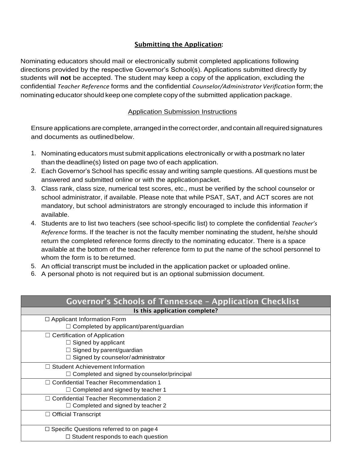#### Submitting the Application:

Nominating educators should mail or electronically submit completed applications following directions provided by the respective Governor's School(s). Applications submitted directly by students will **not** be accepted. The student may keep a copy of the application, excluding the confidential *Teacher Reference* forms and the confidential *Counselor/Administrator Verification* form; the nominating educator should keep one complete copy of the submitted application package.

#### Application Submission Instructions

Ensure applications are complete, arranged in the correct order, and contain all required signatures and documents as outlinedbelow.

- 1. Nominating educators must submit applications electronically or with a postmark no later than the deadline(s) listed on page two of each application.
- 2. Each Governor's School has specific essay and writing sample questions. All questions must be answered and submitted online or with the applicationpacket.
- 3. Class rank, class size, numerical test scores, etc., must be verified by the school counselor or school administrator, if available. Please note that while PSAT, SAT, and ACT scores are not mandatory, but school administrators are strongly encouraged to include this information if available.
- 4. Students are to list two teachers (see school-specific list) to complete the confidential *Teacher's Reference* forms. If the teacher is not the faculty member nominating the student, he/she should return the completed reference forms directly to the nominating educator. There is a space available at the bottom of the teacher reference form to put the name of the school personnel to whom the form is to be returned.
- 5. An official transcript must be included in the application packet or uploaded online.
- 6. A personal photo is not required but is an optional submission document.

| Governor's Schools of Tennessee - Application Checklist |
|---------------------------------------------------------|
| Is this application complete?                           |
| $\Box$ Applicant Information Form                       |
| Completed by applicant/parent/guardian                  |
| $\Box$ Certification of Application                     |
| $\Box$ Signed by applicant                              |
| Signed by parent/guardian                               |
| Signed by counselor/administrator                       |
| $\Box$ Student Achievement Information                  |
| Completed and signed by counselor/principal             |
| □ Confidential Teacher Recommendation 1                 |
| $\Box$ Completed and signed by teacher 1                |
| □ Confidential Teacher Recommendation 2                 |
| $\Box$ Completed and signed by teacher 2                |
| $\Box$ Official Transcript                              |
|                                                         |
| $\Box$ Specific Questions referred to on page 4         |
| $\Box$ Student responds to each question                |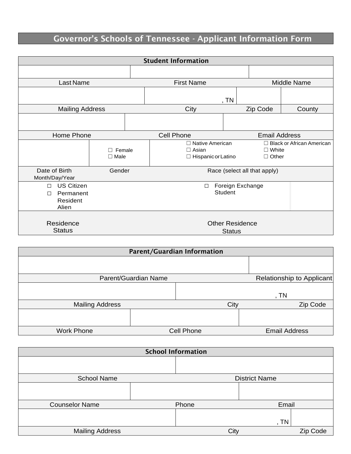## Governor's Schools of Tennessee - Applicant Information Form

|                                                               |                                 | <b>Student Information</b>                                          |                              |                                  |
|---------------------------------------------------------------|---------------------------------|---------------------------------------------------------------------|------------------------------|----------------------------------|
|                                                               |                                 |                                                                     |                              |                                  |
| Last Name                                                     |                                 | <b>First Name</b>                                                   |                              | <b>Middle Name</b>               |
|                                                               |                                 | , $TN$                                                              |                              |                                  |
| <b>Mailing Address</b>                                        |                                 | City                                                                | Zip Code                     | County                           |
|                                                               |                                 |                                                                     |                              |                                  |
| Home Phone                                                    |                                 | <b>Cell Phone</b>                                                   | <b>Email Address</b>         |                                  |
|                                                               | Female<br>$\Box$<br>$\Box$ Male | $\Box$ Native American<br>$\Box$ Asian<br>$\Box$ Hispanic or Latino | $\Box$ White<br>$\Box$ Other | $\Box$ Black or African American |
| Date of Birth<br>Month/Day/Year                               | Gender                          |                                                                     | Race (select all that apply) |                                  |
| <b>US Citizen</b><br>П<br>Permanent<br>П<br>Resident<br>Alien |                                 | $\Box$<br><b>Student</b>                                            | Foreign Exchange             |                                  |
| Residence<br><b>Status</b>                                    |                                 | <b>Status</b>                                                       | <b>Other Residence</b>       |                                  |

|                        |                      | <b>Parent/Guardian Information</b> |                           |
|------------------------|----------------------|------------------------------------|---------------------------|
|                        |                      |                                    |                           |
|                        |                      |                                    |                           |
|                        | Parent/Guardian Name |                                    | Relationship to Applicant |
|                        |                      |                                    |                           |
|                        |                      |                                    | , TN                      |
| <b>Mailing Address</b> |                      | City                               | Zip Code                  |
|                        |                      |                                    |                           |
|                        |                      |                                    |                           |
| <b>Work Phone</b>      |                      | Cell Phone                         | <b>Email Address</b>      |

|                       | <b>School Information</b> |                      |          |
|-----------------------|---------------------------|----------------------|----------|
|                       |                           |                      |          |
| <b>School Name</b>    |                           | <b>District Name</b> |          |
|                       |                           |                      |          |
| <b>Counselor Name</b> | Phone                     | Email                |          |
|                       |                           | , TN                 |          |
| Mailing Address       | City                      |                      | Zip Code |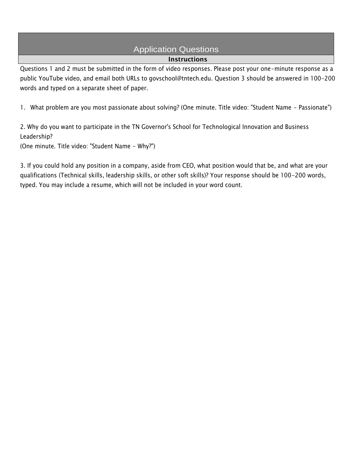# Application Questions

#### Instructions

Questions 1 and 2 must be submitted in the form of video responses. Please post your one-minute response as a public YouTube video, and email both URLs to govschool@tntech.edu. Question 3 should be answered in 100-200 words and typed on a separate sheet of paper.

1. What problem are you most passionate about solving? (One minute. Title video: "Student Name - Passionate")

2. Why do you want to participate in the TN Governor's School for Technological Innovation and Business Leadership?

(One minute. Title video: "Student Name - Why?")

3. If you could hold any position in a company, aside from CEO, what position would that be, and what are your qualifications (Technical skills, leadership skills, or other soft skills)? Your response should be 100-200 words, typed. You may include a resume, which will not be included in your word count.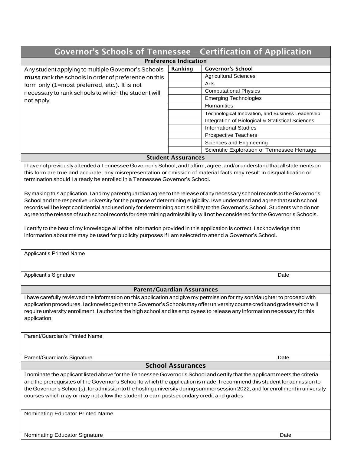|                                                                                                                                                                                                                                                                                                                                                                                                                                             | <b>Governor's Schools of Tennessee - Certification of Application</b>                                                                                                                                                                                                                                                                                                                                                                                                                                                     |
|---------------------------------------------------------------------------------------------------------------------------------------------------------------------------------------------------------------------------------------------------------------------------------------------------------------------------------------------------------------------------------------------------------------------------------------------|---------------------------------------------------------------------------------------------------------------------------------------------------------------------------------------------------------------------------------------------------------------------------------------------------------------------------------------------------------------------------------------------------------------------------------------------------------------------------------------------------------------------------|
|                                                                                                                                                                                                                                                                                                                                                                                                                                             | <b>Preference Indication</b>                                                                                                                                                                                                                                                                                                                                                                                                                                                                                              |
| Any student applying to multiple Governor's Schools                                                                                                                                                                                                                                                                                                                                                                                         | <b>Governor's School</b><br>Ranking                                                                                                                                                                                                                                                                                                                                                                                                                                                                                       |
| must rank the schools in order of preference on this                                                                                                                                                                                                                                                                                                                                                                                        | <b>Agricultural Sciences</b>                                                                                                                                                                                                                                                                                                                                                                                                                                                                                              |
| form only (1=most preferred, etc.). It is not                                                                                                                                                                                                                                                                                                                                                                                               | Arts                                                                                                                                                                                                                                                                                                                                                                                                                                                                                                                      |
| necessary to rank schools to which the student will                                                                                                                                                                                                                                                                                                                                                                                         | <b>Computational Physics</b>                                                                                                                                                                                                                                                                                                                                                                                                                                                                                              |
| not apply.                                                                                                                                                                                                                                                                                                                                                                                                                                  | <b>Emerging Technologies</b>                                                                                                                                                                                                                                                                                                                                                                                                                                                                                              |
|                                                                                                                                                                                                                                                                                                                                                                                                                                             | Humanities                                                                                                                                                                                                                                                                                                                                                                                                                                                                                                                |
|                                                                                                                                                                                                                                                                                                                                                                                                                                             | Technological Innovation, and Business Leadership                                                                                                                                                                                                                                                                                                                                                                                                                                                                         |
|                                                                                                                                                                                                                                                                                                                                                                                                                                             | Integration of Biological & Statistical Sciences                                                                                                                                                                                                                                                                                                                                                                                                                                                                          |
|                                                                                                                                                                                                                                                                                                                                                                                                                                             | <b>International Studies</b>                                                                                                                                                                                                                                                                                                                                                                                                                                                                                              |
|                                                                                                                                                                                                                                                                                                                                                                                                                                             | <b>Prospective Teachers</b>                                                                                                                                                                                                                                                                                                                                                                                                                                                                                               |
|                                                                                                                                                                                                                                                                                                                                                                                                                                             | Sciences and Engineering                                                                                                                                                                                                                                                                                                                                                                                                                                                                                                  |
|                                                                                                                                                                                                                                                                                                                                                                                                                                             | Scientific Exploration of Tennessee Heritage                                                                                                                                                                                                                                                                                                                                                                                                                                                                              |
|                                                                                                                                                                                                                                                                                                                                                                                                                                             | <b>Student Assurances</b>                                                                                                                                                                                                                                                                                                                                                                                                                                                                                                 |
|                                                                                                                                                                                                                                                                                                                                                                                                                                             | I have not previously attended a Tennessee Governor's School, and laffirm, agree, and/or understand that all statements on                                                                                                                                                                                                                                                                                                                                                                                                |
| this form are true and accurate; any misrepresentation or omission of material facts may result in disqualification or<br>termination should I already be enrolled in a Tennessee Governor's School.<br>I certify to the best of my knowledge all of the information provided in this application is correct. I acknowledge that<br>information about me may be used for publicity purposes if I am selected to attend a Governor's School. | By making this application, I and my parent/guardian agree to the release of any necessary school records to the Governor's<br>School and the respective university for the purpose of determining eligibility. I/we understand and agree that such school<br>records will be kept confidential and used only for determining admissibility to the Governor's School. Students who do not<br>agree to the release of such school records for determining admissibility will not be considered for the Governor's Schools. |
| Applicant's Printed Name                                                                                                                                                                                                                                                                                                                                                                                                                    |                                                                                                                                                                                                                                                                                                                                                                                                                                                                                                                           |
| Applicant's Signature                                                                                                                                                                                                                                                                                                                                                                                                                       | Date                                                                                                                                                                                                                                                                                                                                                                                                                                                                                                                      |
|                                                                                                                                                                                                                                                                                                                                                                                                                                             | <b>Parent/Guardian Assurances</b>                                                                                                                                                                                                                                                                                                                                                                                                                                                                                         |
| application.<br>Parent/Guardian's Printed Name                                                                                                                                                                                                                                                                                                                                                                                              | I have carefully reviewed the information on this application and give my permission for my son/daughter to proceed with<br>application procedures. I acknowledge that the Governor's Schools may offer university course credit and grades which will<br>require university enrollment. I authorize the high school and its employees to release any information necessary for this                                                                                                                                      |
| Parent/Guardian's Signature                                                                                                                                                                                                                                                                                                                                                                                                                 | Date                                                                                                                                                                                                                                                                                                                                                                                                                                                                                                                      |
|                                                                                                                                                                                                                                                                                                                                                                                                                                             | <b>School Assurances</b>                                                                                                                                                                                                                                                                                                                                                                                                                                                                                                  |
| courses which may or may not allow the student to earn postsecondary credit and grades.                                                                                                                                                                                                                                                                                                                                                     | I nominate the applicant listed above for the Tennessee Governor's School and certify that the applicant meets the criteria<br>and the prerequisites of the Governor's School to which the application is made. I recommend this student for admission to<br>the Governor's School(s), for admission to the hosting university during summer session 2022, and for enrollment in university                                                                                                                               |
| Nominating Educator Printed Name                                                                                                                                                                                                                                                                                                                                                                                                            |                                                                                                                                                                                                                                                                                                                                                                                                                                                                                                                           |
| Nominating Educator Signature                                                                                                                                                                                                                                                                                                                                                                                                               | Date                                                                                                                                                                                                                                                                                                                                                                                                                                                                                                                      |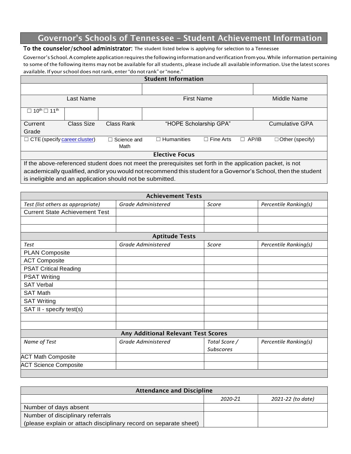## Governor's Schools of Tennessee – Student Achievement Information

#### To the counselor/school administrator: The student listed below is applying for selection to a Tennessee

Governor's School.Acomplete applicationrequires the followinginformationandverificationfromyou.While information pertaining to some of the following items may not be available for all students, please include all available information. Use the latest scores available. If your school does not rank, enter "do not rank" or "none."

| <b>Student Information</b>                    |            |                                                           |                                                                                                             |                        |              |                                                                                                               |
|-----------------------------------------------|------------|-----------------------------------------------------------|-------------------------------------------------------------------------------------------------------------|------------------------|--------------|---------------------------------------------------------------------------------------------------------------|
|                                               |            |                                                           |                                                                                                             |                        |              |                                                                                                               |
|                                               | Last Name  |                                                           |                                                                                                             | <b>First Name</b>      |              | Middle Name                                                                                                   |
| $10^{\text{th}}$ $\Box$ 11 <sup>th</sup><br>П |            |                                                           |                                                                                                             |                        |              |                                                                                                               |
| Current                                       | Class Size | Class Rank                                                |                                                                                                             | "HOPE Scholarship GPA" |              | <b>Cumulative GPA</b>                                                                                         |
| Grade                                         |            |                                                           |                                                                                                             |                        |              |                                                                                                               |
| $\Box$ CTE (specify career cluster)           |            | $\Box$ Science and                                        | Humanities<br>$\mathsf{L}$                                                                                  | Fine Arts<br>П         | $\Box$ AP/IB | $\Box$ Other (specify)                                                                                        |
|                                               |            | Math                                                      |                                                                                                             |                        |              |                                                                                                               |
|                                               |            |                                                           | <b>Elective Focus</b>                                                                                       |                        |              |                                                                                                               |
|                                               |            |                                                           | If the above-referenced student does not meet the prerequisites set forth in the application packet, is not |                        |              |                                                                                                               |
|                                               |            |                                                           |                                                                                                             |                        |              | academically qualified, and/or you would not recommend this student for a Governor's School, then the student |
|                                               |            | is ineligible and an application should not be submitted. |                                                                                                             |                        |              |                                                                                                               |

| <b>Achievement Tests</b>              |                                     |                  |                       |  |  |
|---------------------------------------|-------------------------------------|------------------|-----------------------|--|--|
| Test (list others as appropriate)     | Grade Administered                  | Score            | Percentile Ranking(s) |  |  |
| <b>Current State Achievement Test</b> |                                     |                  |                       |  |  |
|                                       |                                     |                  |                       |  |  |
|                                       |                                     |                  |                       |  |  |
|                                       | <b>Aptitude Tests</b>               |                  |                       |  |  |
| Test                                  | Grade Administered                  | Score            | Percentile Ranking(s) |  |  |
| <b>PLAN Composite</b>                 |                                     |                  |                       |  |  |
| <b>ACT Composite</b>                  |                                     |                  |                       |  |  |
| <b>PSAT Critical Reading</b>          |                                     |                  |                       |  |  |
| <b>PSAT Writing</b>                   |                                     |                  |                       |  |  |
| <b>SAT Verbal</b>                     |                                     |                  |                       |  |  |
| <b>SAT Math</b>                       |                                     |                  |                       |  |  |
| <b>SAT Writing</b>                    |                                     |                  |                       |  |  |
| SAT II - specify test(s)              |                                     |                  |                       |  |  |
|                                       |                                     |                  |                       |  |  |
|                                       |                                     |                  |                       |  |  |
|                                       | Any Additional Relevant Test Scores |                  |                       |  |  |
| Name of Test                          | <b>Grade Administered</b>           | Total Score /    | Percentile Ranking(s) |  |  |
|                                       |                                     | <b>Subscores</b> |                       |  |  |
| <b>ACT Math Composite</b>             |                                     |                  |                       |  |  |
| <b>ACT Science Composite</b>          |                                     |                  |                       |  |  |
|                                       |                                     |                  |                       |  |  |

| <b>Attendance and Discipline</b>                                 |         |                   |
|------------------------------------------------------------------|---------|-------------------|
|                                                                  | 2020-21 | 2021-22 (to date) |
| Number of days absent                                            |         |                   |
| Number of disciplinary referrals                                 |         |                   |
| (please explain or attach disciplinary record on separate sheet) |         |                   |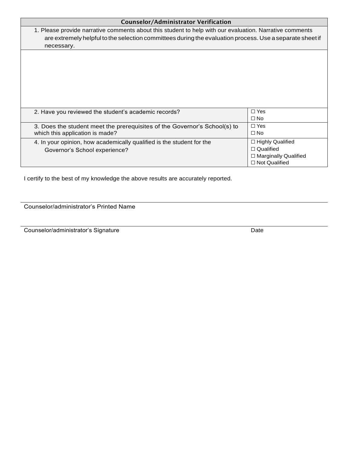| <b>Counselor/Administrator Verification</b>                                                                                                                                                                                       |                             |
|-----------------------------------------------------------------------------------------------------------------------------------------------------------------------------------------------------------------------------------|-----------------------------|
| 1. Please provide narrative comments about this student to help with our evaluation. Narrative comments<br>are extremely helpful to the selection committees during the evaluation process. Use a separate sheet if<br>necessary. |                             |
|                                                                                                                                                                                                                                   |                             |
|                                                                                                                                                                                                                                   |                             |
|                                                                                                                                                                                                                                   |                             |
|                                                                                                                                                                                                                                   |                             |
|                                                                                                                                                                                                                                   |                             |
| 2. Have you reviewed the student's academic records?                                                                                                                                                                              | $\Box$ Yes                  |
|                                                                                                                                                                                                                                   | $\Box$ No                   |
| 3. Does the student meet the prerequisites of the Governor's School(s) to                                                                                                                                                         | $\Box$ Yes                  |
| which this application is made?                                                                                                                                                                                                   | $\Box$ No                   |
| 4. In your opinion, how academically qualified is the student for the                                                                                                                                                             | □ Highly Qualified          |
| Governor's School experience?                                                                                                                                                                                                     | $\Box$ Qualified            |
|                                                                                                                                                                                                                                   | $\Box$ Marginally Qualified |
|                                                                                                                                                                                                                                   | $\Box$ Not Qualified        |

I certify to the best of my knowledge the above results are accurately reported.

Counselor/administrator's Printed Name

Counselor/administrator's Signature Date Date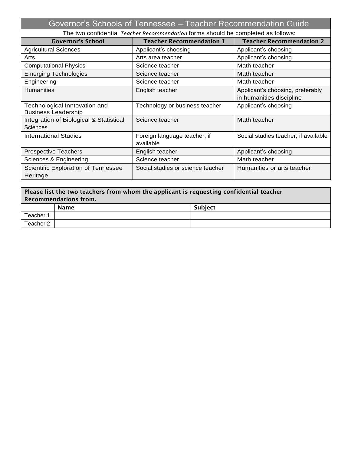|                                                             | Governor's Schools of Tennessee - Teacher Recommendation Guide                    |                                      |
|-------------------------------------------------------------|-----------------------------------------------------------------------------------|--------------------------------------|
|                                                             | The two confidential Teacher Recommendation forms should be completed as follows: |                                      |
| <b>Governor's School</b>                                    | <b>Teacher Recommendation 1</b>                                                   | <b>Teacher Recommendation 2</b>      |
| <b>Agricultural Sciences</b>                                | Applicant's choosing                                                              | Applicant's choosing                 |
| Arts                                                        | Arts area teacher                                                                 | Applicant's choosing                 |
| <b>Computational Physics</b>                                | Science teacher                                                                   | Math teacher                         |
| <b>Emerging Technologies</b>                                | Science teacher                                                                   | Math teacher                         |
| Engineering                                                 | Science teacher                                                                   | Math teacher                         |
| <b>Humanities</b>                                           | English teacher                                                                   | Applicant's choosing, preferably     |
|                                                             |                                                                                   | in humanities discipline             |
| Technological Inntovation and<br><b>Business Leadership</b> | Technology or business teacher                                                    | Applicant's choosing                 |
| Integration of Biological & Statistical                     | Science teacher                                                                   | Math teacher                         |
| <b>Sciences</b>                                             |                                                                                   |                                      |
| <b>International Studies</b>                                | Foreign language teacher, if                                                      | Social studies teacher, if available |
|                                                             | available                                                                         |                                      |
| <b>Prospective Teachers</b>                                 | English teacher                                                                   | Applicant's choosing                 |
| Sciences & Engineering                                      | Science teacher                                                                   | Math teacher                         |
| Scientific Exploration of Tennessee                         | Social studies or science teacher                                                 | Humanities or arts teacher           |
| Heritage                                                    |                                                                                   |                                      |

| Please list the two teachers from whom the applicant is requesting confidential teacher<br><b>Recommendations from.</b> |      |                |  |
|-------------------------------------------------------------------------------------------------------------------------|------|----------------|--|
|                                                                                                                         | Name | <b>Subject</b> |  |
| Teacher 1                                                                                                               |      |                |  |
| Teacher 2                                                                                                               |      |                |  |
|                                                                                                                         |      |                |  |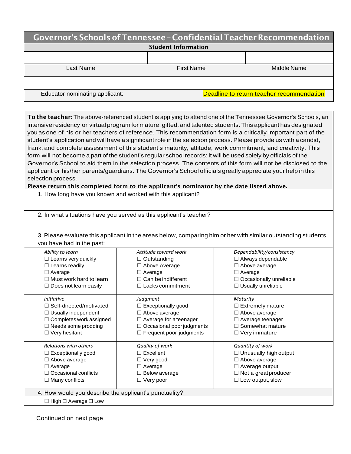| Governor's Schools of Tennessee - Confidential Teacher Recommendation |                   |                                           |
|-----------------------------------------------------------------------|-------------------|-------------------------------------------|
| <b>Student Information</b>                                            |                   |                                           |
|                                                                       |                   |                                           |
| Last Name                                                             | <b>First Name</b> | Middle Name                               |
|                                                                       |                   |                                           |
| Educator nominating applicant:                                        |                   | Deadline to return teacher recommendation |

| To the teacher: The above-referenced student is applying to attend one of the Tennessee Governor's Schools, an    |                                                                                                            |                                                                                                                |  |
|-------------------------------------------------------------------------------------------------------------------|------------------------------------------------------------------------------------------------------------|----------------------------------------------------------------------------------------------------------------|--|
| intensive residency or virtual program for mature, gifted, and talented students. This applicant has designated   |                                                                                                            |                                                                                                                |  |
|                                                                                                                   |                                                                                                            | you as one of his or her teachers of reference. This recommendation form is a critically important part of the |  |
| student's application and will have a significant role in the selection process. Please provide us with a candid, |                                                                                                            |                                                                                                                |  |
|                                                                                                                   | frank, and complete assessment of this student's maturity, attitude, work commitment, and creativity. This |                                                                                                                |  |
| form will not become a part of the student's regular school records; it will be used solely by officials of the   |                                                                                                            |                                                                                                                |  |
| Governor's School to aid them in the selection process. The contents of this form will not be disclosed to the    |                                                                                                            |                                                                                                                |  |
| applicant or his/her parents/guardians. The Governor's School officials greatly appreciate your help in this      |                                                                                                            |                                                                                                                |  |
| selection process.                                                                                                |                                                                                                            |                                                                                                                |  |
| Please return this completed form to the applicant's nominator by the date listed above.                          |                                                                                                            |                                                                                                                |  |
|                                                                                                                   | 1. How long have you known and worked with this applicant?                                                 |                                                                                                                |  |
|                                                                                                                   |                                                                                                            |                                                                                                                |  |
|                                                                                                                   |                                                                                                            |                                                                                                                |  |
|                                                                                                                   | 2. In what situations have you served as this applicant's teacher?                                         |                                                                                                                |  |
|                                                                                                                   |                                                                                                            |                                                                                                                |  |
|                                                                                                                   |                                                                                                            | 3. Please evaluate this applicant in the areas below, comparing him or her with similar outstanding students   |  |
| you have had in the past:                                                                                         |                                                                                                            |                                                                                                                |  |
| Ability to learn                                                                                                  | Attitude toward work                                                                                       | Dependability/consistency                                                                                      |  |
| $\Box$ Learns very quickly                                                                                        | Outstanding                                                                                                | $\Box$ Always dependable                                                                                       |  |
| $\Box$ Learns readily                                                                                             | $\Box$ Above Average                                                                                       | $\Box$ Above average                                                                                           |  |

| ================<br>$\Box$ Average<br>$\Box$ Must work hard to learn<br>$\Box$ Does not learn easily | 1.00010111010190<br>$\Box$ Average<br>Can be indifferent<br>$\Box$ Lacks commitment | $-$ , we relate that $-$<br>$\Box$ Average<br>$\Box$ Occasionally unreliable<br>$\Box$ Usually unreliable |
|------------------------------------------------------------------------------------------------------|-------------------------------------------------------------------------------------|-----------------------------------------------------------------------------------------------------------|
| <i>Initiative</i>                                                                                    | Judgment                                                                            | Maturity                                                                                                  |
| $\Box$ Self-directed/motivated                                                                       | $\Box$ Exceptionally good                                                           | $\Box$ Extremely mature                                                                                   |
| $\Box$ Usually independent                                                                           | $\Box$ Above average                                                                | $\Box$ Above average                                                                                      |
| $\Box$ Completes work assigned                                                                       | $\Box$ Average for a teenager                                                       | $\Box$ Average teenager                                                                                   |
| $\Box$ Needs some prodding                                                                           | $\Box$ Occasional poor judgments                                                    | $\Box$ Somewhat mature                                                                                    |
| $\Box$ Very hesitant                                                                                 | $\Box$ Frequent poor judgments                                                      | $\Box$ Very immature                                                                                      |
| <b>Relations with others</b>                                                                         | Quality of work                                                                     | Quantity of work                                                                                          |
| $\Box$ Exceptionally good                                                                            | $\Box$ Excellent                                                                    | $\Box$ Unusually high output                                                                              |
| $\Box$ Above average                                                                                 | $\Box$ Very good                                                                    | $\Box$ Above average                                                                                      |
| $\Box$ Average                                                                                       | $\Box$ Average                                                                      | $\Box$ Average output                                                                                     |
| $\Box$ Occasional conflicts                                                                          | $\Box$ Below average                                                                | $\Box$ Not a great producer                                                                               |
| $\Box$ Many conflicts                                                                                | $\Box$ Very poor                                                                    | $\Box$ Low output, slow                                                                                   |
| 4. How would you describe the applicant's punctuality?                                               |                                                                                     |                                                                                                           |
| $\Box$ High $\Box$ Average $\Box$ Low                                                                |                                                                                     |                                                                                                           |
|                                                                                                      |                                                                                     |                                                                                                           |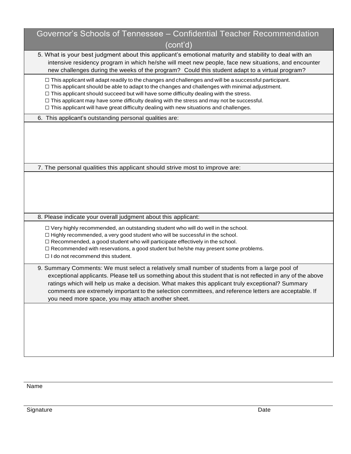| Governor's Schools of Tennessee - Confidential Teacher Recommendation<br>(cont'd)                                                                                                                                                                                                                                                                                                                                                                                                                                        |
|--------------------------------------------------------------------------------------------------------------------------------------------------------------------------------------------------------------------------------------------------------------------------------------------------------------------------------------------------------------------------------------------------------------------------------------------------------------------------------------------------------------------------|
| 5. What is your best judgment about this applicant's emotional maturity and stability to deal with an<br>intensive residency program in which he/she will meet new people, face new situations, and encounter<br>new challenges during the weeks of the program? Could this student adapt to a virtual program?                                                                                                                                                                                                          |
| $\Box$ This applicant will adapt readily to the changes and challenges and will be a successful participant.<br>$\Box$ This applicant should be able to adapt to the changes and challenges with minimal adjustment.<br>$\Box$ This applicant should succeed but will have some difficulty dealing with the stress.<br>$\Box$ This applicant may have some difficulty dealing with the stress and may not be successful.<br>$\Box$ This applicant will have great difficulty dealing with new situations and challenges. |
| 6. This applicant's outstanding personal qualities are:                                                                                                                                                                                                                                                                                                                                                                                                                                                                  |
|                                                                                                                                                                                                                                                                                                                                                                                                                                                                                                                          |
| 7. The personal qualities this applicant should strive most to improve are:                                                                                                                                                                                                                                                                                                                                                                                                                                              |
|                                                                                                                                                                                                                                                                                                                                                                                                                                                                                                                          |
| 8. Please indicate your overall judgment about this applicant:                                                                                                                                                                                                                                                                                                                                                                                                                                                           |
| $\Box$ Very highly recommended, an outstanding student who will do well in the school.<br>□ Highly recommended, a very good student who will be successful in the school.<br>$\Box$ Recommended, a good student who will participate effectively in the school.<br>□ Recommended with reservations, a good student but he/she may present some problems.<br>$\Box$ I do not recommend this student.                                                                                                                      |
| 9. Summary Comments: We must select a relatively small number of students from a large pool of<br>exceptional applicants. Please tell us something about this student that is not reflected in any of the above<br>ratings which will help us make a decision. What makes this applicant truly exceptional? Summary<br>comments are extremely important to the selection committees, and reference letters are acceptable. If<br>you need more space, you may attach another sheet.                                      |
|                                                                                                                                                                                                                                                                                                                                                                                                                                                                                                                          |

Name

Signature Date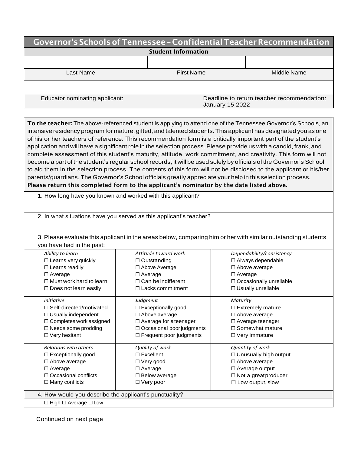| Governor's Schools of Tennessee - Confidential Teacher Recommendation |                                                                      |             |
|-----------------------------------------------------------------------|----------------------------------------------------------------------|-------------|
| <b>Student Information</b>                                            |                                                                      |             |
|                                                                       |                                                                      |             |
| Last Name                                                             | <b>First Name</b>                                                    | Middle Name |
|                                                                       |                                                                      |             |
| Educator nominating applicant:                                        | Deadline to return teacher recommendation:<br><b>January 15 2022</b> |             |
|                                                                       |                                                                      |             |

To the teacher: The above-referenced student is applying to attend one of the Tennessee Governor's Schools, an intensive residency program for mature, gifted, and talented students. This applicant has designated you as one of his or her teachers of reference. This recommendation form is a critically important part of the student's application and will have a significant role in the selection process. Please provide us with a candid, frank, and complete assessment of this student's maturity, attitude, work commitment, and creativity. This form will not become a part of the student's regular school records; it will be used solely by officials of the Governor's School to aid them in the selection process. The contents of this form will not be disclosed to the applicant or his/her parents/guardians. The Governor's School officials greatly appreciate your help in this selection process. Please return this completed form to the applicant's nominator by the date listed above.

1. How long have you known and worked with this applicant?

2. In what situations have you served as this applicant's teacher?

3. Please evaluate this applicant in the areas below, comparing him or her with similar outstanding students you have had in the past:

| Ability to learn                                       | Attitude toward work           | Dependability/consistency      |
|--------------------------------------------------------|--------------------------------|--------------------------------|
|                                                        |                                |                                |
| $\Box$ Learns very quickly                             | $\Box$ Outstanding             | $\Box$ Always dependable       |
| $\Box$ Learns readily                                  | $\Box$ Above Average           | $\Box$ Above average           |
| $\Box$ Average                                         | $\Box$ Average                 | $\Box$ Average                 |
| $\Box$ Must work hard to learn                         | $\Box$ Can be indifferent      | $\Box$ Occasionally unreliable |
| $\Box$ Does not learn easily                           | $\Box$ Lacks commitment        | $\Box$ Usually unreliable      |
| <i>Initiative</i>                                      | Judgment                       | Maturity                       |
| $\Box$ Self-directed/motivated                         | $\Box$ Exceptionally good      | $\Box$ Extremely mature        |
| $\Box$ Usually independent                             | □ Above average                | □ Above average                |
| □ Completes work assigned                              | $\Box$ Average for a teenager  | $\Box$ Average teenager        |
| $\Box$ Needs some prodding                             | □ Occasional poor judgments    | $\Box$ Somewhat mature         |
| $\Box$ Very hesitant                                   | $\Box$ Frequent poor judgments | $\Box$ Very immature           |
| <b>Relations with others</b>                           | Quality of work                | Quantity of work               |
| $\Box$ Exceptionally good                              | $\Box$ Excellent               | $\Box$ Unusually high output   |
| $\Box$ Above average                                   | $\Box$ Very good               | $\Box$ Above average           |
| $\Box$ Average                                         | $\Box$ Average                 | $\Box$ Average output          |
| $\Box$ Occasional conflicts                            | $\Box$ Below average           | $\Box$ Not a greatproducer     |
| $\Box$ Many conflicts                                  | $\Box$ Very poor               | $\Box$ Low output, slow        |
| 4. How would you describe the applicant's punctuality? |                                |                                |
| $\Box$ High $\Box$ Average $\Box$ Low                  |                                |                                |

Continued on next page